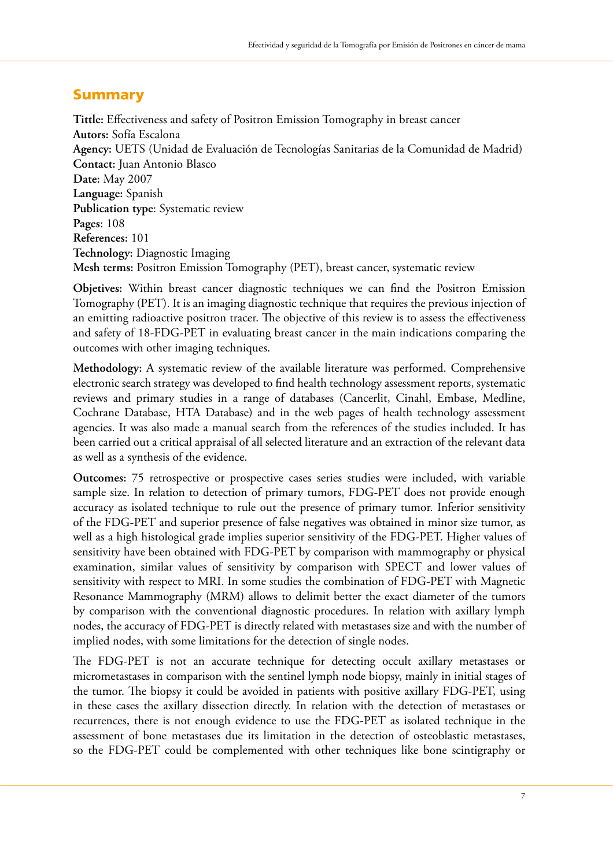## **Summary**

**Tittle:** Effectiveness and safety of Positron Emission Tomography in breast cancer **Autors:** Sofía Escalona **Agency:** UETS (Unidad de Evaluación de Tecnologías Sanitarias de la Comunidad de Madrid) **Contact:** Juan Antonio Blasco **Date:** May 2007 **Language:** Spanish **Publication type**: Systematic review **Pages**: 108 **References:** 101 **Technology:** Diagnostic Imaging **Mesh terms:** Positron Emission Tomography (PET), breast cancer, systematic review

**Objetives:** Within breast cancer diagnostic techniques we can find the Positron Emission Tomography (PET). It is an imaging diagnostic technique that requires the previous injection of an emitting radioactive positron tracer. The objective of this review is to assess the effectiveness and safety of 18-FDG-PET in evaluating breast cancer in the main indications comparing the outcomes with other imaging techniques.

**Methodology:** A systematic review of the available literature was performed. Comprehensive electronic search strategy was developed to find health technology assessment reports, systematic reviews and primary studies in a range of databases (Cancerlit, Cinahl, Embase, Medline, Cochrane Database, HTA Database) and in the web pages of health technology assessment agencies. It was also made a manual search from the references of the studies included. It has been carried out a critical appraisal of all selected literature and an extraction of the relevant data as well as a synthesis of the evidence.

**Outcomes:** 75 retrospective or prospective cases series studies were included, with variable sample size. In relation to detection of primary tumors, FDG-PET does not provide enough accuracy as isolated technique to rule out the presence of primary tumor. Inferior sensitivity of the FDG-PET and superior presence of false negatives was obtained in minor size tumor, as well as a high histological grade implies superior sensitivity of the FDG-PET. Higher values of sensitivity have been obtained with FDG-PET by comparison with mammography or physical examination, similar values of sensitivity by comparison with SPECT and lower values of sensitivity with respect to MRI. In some studies the combination of FDG-PET with Magnetic Resonance Mammography (MRM) allows to delimit better the exact diameter of the tumors by comparison with the conventional diagnostic procedures. In relation with axillary lymph nodes, the accuracy of FDG-PET is directly related with metastases size and with the number of implied nodes, with some limitations for the detection of single nodes.

The FDG-PET is not an accurate technique for detecting occult axillary metastases or micrometastases in comparison with the sentinel lymph node biopsy, mainly in initial stages of the tumor. The biopsy it could be avoided in patients with positive axillary FDG-PET, using in these cases the axillary dissection directly. In relation with the detection of metastases or recurrences, there is not enough evidence to use the FDG-PET as isolated technique in the assessment of bone metastases due its limitation in the detection of osteoblastic metastases, so the FDG-PET could be complemented with other techniques like bone scintigraphy or